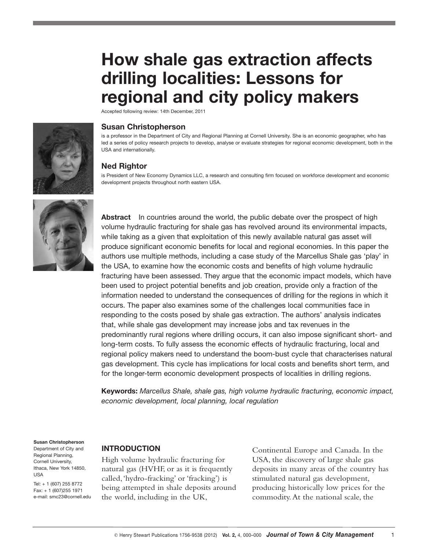# **How shale gas extraction affects drilling localities: Lessons for regional and city policy makers**

Accepted following review: 14th December, 2011



#### **Susan Christopherson**

is a professor in the Department of City and Regional Planning at Cornell University. She is an economic geographer, who has led a series of policy research projects to develop, analyse or evaluate strategies for regional economic development, both in the USA and internationally.

#### **Ned Rightor**

is President of New Economy Dynamics LLC, a research and consulting firm focused on workforce development and economic development projects throughout north eastern USA.



**Abstract** In countries around the world, the public debate over the prospect of high volume hydraulic fracturing for shale gas has revolved around its environmental impacts, while taking as a given that exploitation of this newly available natural gas asset will produce significant economic benefits for local and regional economies. In this paper the authors use multiple methods, including a case study of the Marcellus Shale gas 'play' in the USA, to examine how the economic costs and benefits of high volume hydraulic fracturing have been assessed. They argue that the economic impact models, which have been used to project potential benefits and job creation, provide only a fraction of the information needed to understand the consequences of drilling for the regions in which it occurs. The paper also examines some of the challenges local communities face in responding to the costs posed by shale gas extraction. The authors' analysis indicates that, while shale gas development may increase jobs and tax revenues in the predominantly rural regions where drilling occurs, it can also impose significant short- and long-term costs. To fully assess the economic effects of hydraulic fracturing, local and regional policy makers need to understand the boom-bust cycle that characterises natural gas development. This cycle has implications for local costs and benefits short term, and for the longer-term economic development prospects of localities in drilling regions.

**Keywords:** *Marcellus Shale, shale gas, high volume hydraulic fracturing, economic impact, economic development, local planning, local regulation*

#### **Susan Christopherson**

Department of City and Regional Planning, Cornell University, Ithaca, New York 14850, USA

Tel: + 1 (607) 255 8772 Fax: + 1 (607)255 1971 e-mail: smc23@cornell.edu

#### **INTRODUCTION**

High volume hydraulic fracturing for natural gas (HVHF, or as it is frequently called,'hydro-fracking' or 'fracking') is being attempted in shale deposits around the world, including in the UK,

Continental Europe and Canada. In the USA, the discovery of large shale gas deposits in many areas of the country has stimulated natural gas development, producing historically low prices for the commodity.At the national scale, the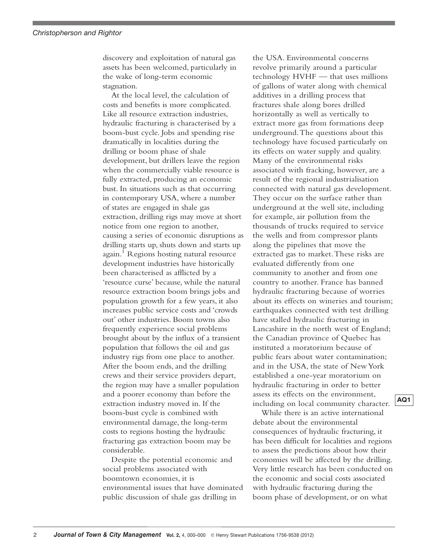discovery and exploitation of natural gas assets has been welcomed, particularly in the wake of long-term economic stagnation.

At the local level, the calculation of costs and benefits is more complicated. Like all resource extraction industries, hydraulic fracturing is characterised by a boom-bust cycle. Jobs and spending rise dramatically in localities during the drilling or boom phase of shale development, but drillers leave the region when the commercially viable resource is fully extracted, producing an economic bust. In situations such as that occurring in contemporary USA, where a number of states are engaged in shale gas extraction, drilling rigs may move at short notice from one region to another, causing a series of economic disruptions as drilling starts up, shuts down and starts up again. <sup>1</sup> Regions hosting natural resource development industries have historically been characterised as afflicted by a 'resource curse' because, while the natural resource extraction boom brings jobs and population growth for a few years, it also increases public service costs and 'crowds out' other industries. Boom towns also frequently experience social problems brought about by the influx of a transient population that follows the oil and gas industry rigs from one place to another. After the boom ends, and the drilling crews and their service providers depart, the region may have a smaller population and a poorer economy than before the extraction industry moved in. If the boom-bust cycle is combined with environmental damage, the long-term costs to regions hosting the hydraulic fracturing gas extraction boom may be considerable.

Despite the potential economic and social problems associated with boomtown economies, it is environmental issues that have dominated public discussion of shale gas drilling in

the USA. Environmental concerns revolve primarily around a particular technology HVHF — that uses millions of gallons of water along with chemical additives in a drilling process that fractures shale along bores drilled horizontally as well as vertically to extract more gas from formations deep underground.The questions about this technology have focused particularly on its effects on water supply and quality. Many of the environmental risks associated with fracking, however, are a result of the regional industrialisation connected with natural gas development. They occur on the surface rather than underground at the well site, including for example, air pollution from the thousands of trucks required to service the wells and from compressor plants along the pipelines that move the extracted gas to market.These risks are evaluated differently from one community to another and from one country to another. France has banned hydraulic fracturing because of worries about its effects on wineries and tourism; earthquakes connected with test drilling have stalled hydraulic fracturing in Lancashire in the north west of England; the Canadian province of Quebec has instituted a moratorium because of public fears about water contamination; and in the USA, the state of New York established a one-year moratorium on hydraulic fracturing in order to better assess its effects on the environment, including on local community character.

While there is an active international debate about the environmental consequences of hydraulic fracturing, it has been difficult for localities and regions to assess the predictions about how their economies will be affected by the drilling. Very little research has been conducted on the economic and social costs associated with hydraulic fracturing during the boom phase of development, or on what

**AQ1**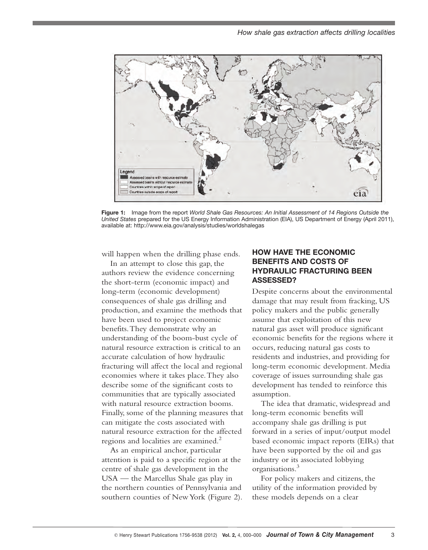

**Figure 1:** Image from the report *World Shale Gas Resources: An Initial Assessment of 14 Regions Outside the United States* prepared for the US Energy Information Administration (EIA), US Department of Energy (April 2011), available at: http://www.eia.gov/analysis/studies/worldshalegas

will happen when the drilling phase ends.

In an attempt to close this gap, the authors review the evidence concerning the short-term (economic impact) and long-term (economic development) consequences of shale gas drilling and production, and examine the methods that have been used to project economic benefits.They demonstrate why an understanding of the boom-bust cycle of natural resource extraction is critical to an accurate calculation of how hydraulic fracturing will affect the local and regional economies where it takes place.They also describe some of the significant costs to communities that are typically associated with natural resource extraction booms. Finally, some of the planning measures that can mitigate the costs associated with natural resource extraction for the affected regions and localities are examined. 2

As an empirical anchor, particular attention is paid to a specific region at the centre of shale gas development in the USA — the Marcellus Shale gas play in the northern counties of Pennsylvania and southern counties of NewYork (Figure 2).

## **HOW HAVE THE ECONOMIC BENEFITS AND COSTS OF HYDRAULIC FRACTURING BEEN ASSESSED?**

Despite concerns about the environmental damage that may result from fracking, US policy makers and the public generally assume that exploitation of this new natural gas asset will produce significant economic benefits for the regions where it occurs, reducing natural gas costs to residents and industries, and providing for long-term economic development. Media coverage of issues surrounding shale gas development has tended to reinforce this assumption.

The idea that dramatic, widespread and long-term economic benefits will accompany shale gas drilling is put forward in a series of input/output model based economic impact reports (EIRs) that have been supported by the oil and gas industry or its associated lobbying organisations. 3

For policy makers and citizens, the utility of the information provided by these models depends on a clear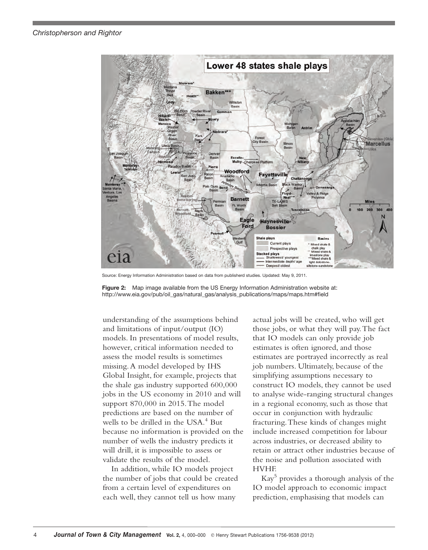

Source: Energy Information Administration based on data from publisherd studies. Updated: May 9, 2011.

**Figure 2:** Map image available from the US Energy Information Administration website at: http://www.eia.gov/pub/oil\_gas/natural\_gas/analysis\_publications/maps/maps.htm#field

understanding of the assumptions behind and limitations of input/output (IO) models. In presentations of model results, however, critical information needed to assess the model results is sometimes missing.A model developed by IHS Global Insight, for example, projects that the shale gas industry supported 600,000 jobs in the US economy in 2010 and will support 870,000 in 2015.The model predictions are based on the number of wells to be drilled in the USA. <sup>4</sup> But because no information is provided on the number of wells the industry predicts it will drill, it is impossible to assess or validate the results of the model.

In addition, while IO models project the number of jobs that could be created from a certain level of expenditures on each well, they cannot tell us how many

actual jobs will be created, who will get those jobs, or what they will pay.The fact that IO models can only provide job estimates is often ignored, and those estimates are portrayed incorrectly as real job numbers. Ultimately, because of the simplifying assumptions necessary to construct IO models, they cannot be used to analyse wide-ranging structural changes in a regional economy, such as those that occur in conjunction with hydraulic fracturing.These kinds of changes might include increased competition for labour across industries, or decreased ability to retain or attract other industries because of the noise and pollution associated with HVHF.

Kay <sup>5</sup> provides a thorough analysis of the IO model approach to economic impact prediction, emphasising that models can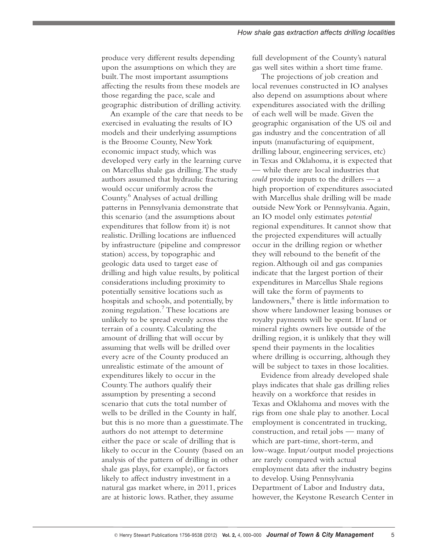produce very different results depending upon the assumptions on which they are built.The most important assumptions affecting the results from these models are those regarding the pace, scale and geographic distribution of drilling activity.

An example of the care that needs to be exercised in evaluating the results of IO models and their underlying assumptions is the Broome County, NewYork economic impact study, which was developed very early in the learning curve on Marcellus shale gas drilling.The study authors assumed that hydraulic fracturing would occur uniformly across the County. <sup>6</sup> Analyses of actual drilling patterns in Pennsylvania demonstrate that this scenario (and the assumptions about expenditures that follow from it) is not realistic. Drilling locations are influenced by infrastructure (pipeline and compressor station) access, by topographic and geologic data used to target ease of drilling and high value results, by political considerations including proximity to potentially sensitive locations such as hospitals and schools, and potentially, by zoning regulation. <sup>7</sup> These locations are unlikely to be spread evenly across the terrain of a county. Calculating the amount of drilling that will occur by assuming that wells will be drilled over every acre of the County produced an unrealistic estimate of the amount of expenditures likely to occur in the County.The authors qualify their assumption by presenting a second scenario that cuts the total number of wells to be drilled in the County in half, but this is no more than a guesstimate.The authors do not attempt to determine either the pace or scale of drilling that is likely to occur in the County (based on an analysis of the pattern of drilling in other shale gas plays, for example), or factors likely to affect industry investment in a natural gas market where, in 2011, prices are at historic lows. Rather, they assume

full development of the County's natural gas well sites within a short time frame.

The projections of job creation and local revenues constructed in IO analyses also depend on assumptions about where expenditures associated with the drilling of each well will be made. Given the geographic organisation of the US oil and gas industry and the concentration of all inputs (manufacturing of equipment, drilling labour, engineering services, etc) in Texas and Oklahoma, it is expected that — while there are local industries that *could* provide inputs to the drillers — a high proportion of expenditures associated with Marcellus shale drilling will be made outside NewYork or Pennsylvania.Again, an IO model only estimates *potential* regional expenditures. It cannot show that the projected expenditures will actually occur in the drilling region or whether they will rebound to the benefit of the region.Although oil and gas companies indicate that the largest portion of their expenditures in Marcellus Shale regions will take the form of payments to landowners, <sup>8</sup> there is little information to show where landowner leasing bonuses or royalty payments will be spent. If land or mineral rights owners live outside of the drilling region, it is unlikely that they will spend their payments in the localities where drilling is occurring, although they will be subject to taxes in those localities.

Evidence from already developed shale plays indicates that shale gas drilling relies heavily on a workforce that resides in Texas and Oklahoma and moves with the rigs from one shale play to another. Local employment is concentrated in trucking, construction, and retail jobs — many of which are part-time, short-term, and low-wage. Input/output model projections are rarely compared with actual employment data after the industry begins to develop. Using Pennsylvania Department of Labor and Industry data, however, the Keystone Research Center in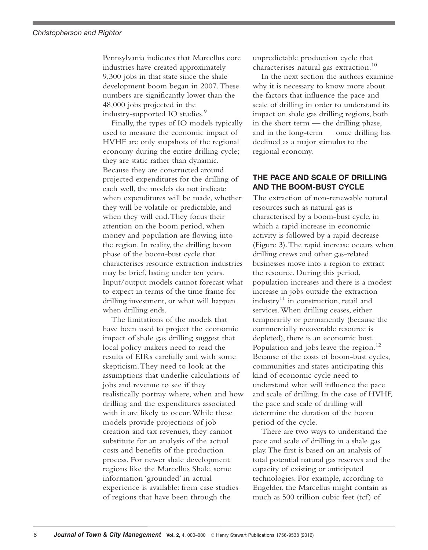Pennsylvania indicates that Marcellus core industries have created approximately 9,300 jobs in that state since the shale development boom began in 2007.These numbers are significantly lower than the 48,000 jobs projected in the industry-supported IO studies. 9

Finally, the types of IO models typically used to measure the economic impact of HVHF are only snapshots of the regional economy during the entire drilling cycle; they are static rather than dynamic. Because they are constructed around projected expenditures for the drilling of each well, the models do not indicate when expenditures will be made, whether they will be volatile or predictable, and when they will end.They focus their attention on the boom period, when money and population are flowing into the region. In reality, the drilling boom phase of the boom-bust cycle that characterises resource extraction industries may be brief, lasting under ten years. Input/output models cannot forecast what to expect in terms of the time frame for drilling investment, or what will happen when drilling ends.

The limitations of the models that have been used to project the economic impact of shale gas drilling suggest that local policy makers need to read the results of EIRs carefully and with some skepticism.They need to look at the assumptions that underlie calculations of jobs and revenue to see if they realistically portray where, when and how drilling and the expenditures associated with it are likely to occur.While these models provide projections of job creation and tax revenues, they cannot substitute for an analysis of the actual costs and benefits of the production process. For newer shale development regions like the Marcellus Shale, some information 'grounded' in actual experience is available: from case studies of regions that have been through the

unpredictable production cycle that characterises natural gas extraction. 10

In the next section the authors examine why it is necessary to know more about the factors that influence the pace and scale of drilling in order to understand its impact on shale gas drilling regions, both in the short term — the drilling phase, and in the long-term — once drilling has declined as a major stimulus to the regional economy.

## **THE PACE AND SCALE OF DRILLING AND THE BOOM-BUST CYCLE**

The extraction of non-renewable natural resources such as natural gas is characterised by a boom-bust cycle, in which a rapid increase in economic activity is followed by a rapid decrease (Figure 3).The rapid increase occurs when drilling crews and other gas-related businesses move into a region to extract the resource. During this period, population increases and there is a modest increase in jobs outside the extraction industry <sup>11</sup> in construction, retail and services.When drilling ceases, either temporarily or permanently (because the commercially recoverable resource is depleted), there is an economic bust. Population and jobs leave the region.<sup>12</sup> Because of the costs of boom-bust cycles, communities and states anticipating this kind of economic cycle need to understand what will influence the pace and scale of drilling. In the case of HVHF, the pace and scale of drilling will determine the duration of the boom period of the cycle.

There are two ways to understand the pace and scale of drilling in a shale gas play.The first is based on an analysis of total potential natural gas reserves and the capacity of existing or anticipated technologies. For example, according to Engelder, the Marcellus might contain as much as 500 trillion cubic feet (tcf) of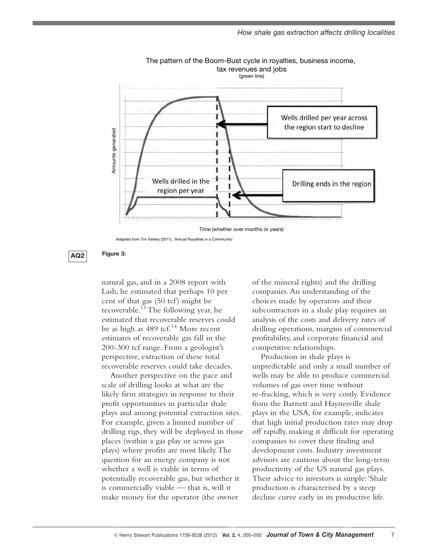



Adapted from Tim Kelsey (2011), 'Annual Royalties in a Community'.



**AQ Figure 3: 2**

natural gas, and in a 2008 report with Lash, he estimated that perhaps 10 per cent of that gas (50 tcf) might be recoverable. <sup>13</sup> The following year, he estimated that recoverable reserves could be as high as 489 tcf. <sup>14</sup> More recent estimates of recoverable gas fall in the 200-300 tcf range. From a geologist's perspective, extraction of these total recoverable reserves could take decades.

Another perspective on the pace and scale of drilling looks at what are the likely firm strategies in response to their profit opportunities in particular shale plays and among potential extraction sites. For example, given a limited number of drilling rigs, they will be deployed in those places (within a gas play or across gas plays) where profits are most likely.The question for an energy company is not whether a well is viable in terms of potentially recoverable gas, but whether it is commercially viable — that is, will it make money for the operator (the owner

of the mineral rights) and the drilling companies.An understanding of the choices made by operators and their subcontractors in a shale play requires an analysis of the costs and delivery rates of drilling operations, margins of commercial profitability, and corporate financial and competitive relationships.

Production in shale plays is unpredictable and only a small number of wells may be able to produce commercial volumes of gas over time without re-fracking, which is very costly. Evidence from the Barnett and Haynesville shale plays in the USA, for example, indicates that high initial production rates may drop off rapidly, making it difficult for operating companies to cover their finding and development costs. Industry investment advisors are cautious about the long-term productivity of the US natural gas plays. Their advice to investors is simple:'Shale production is characterised by a steep decline curve early in its productive life.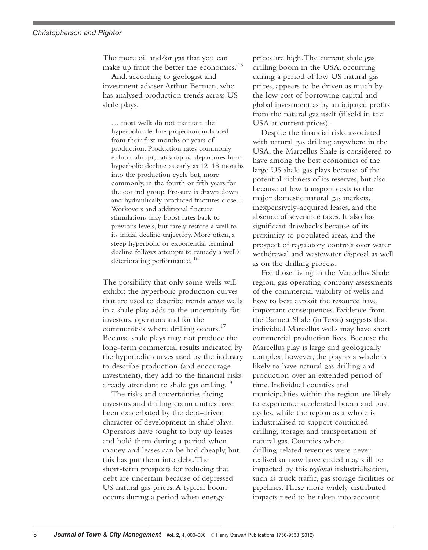#### *Christopherson and Rightor*

The more oil and/or gas that you can make up front the better the economics.' 15

And, according to geologist and investment adviser Arthur Berman, who has analysed production trends across US shale plays:

… most wells do not maintain the hyperbolic decline projection indicated from their first months or years of production. Production rates commonly exhibit abrupt, catastrophic departures from hyperbolic decline as early as 12–18 months into the production cycle but, more commonly, in the fourth or fifth years for the control group. Pressure is drawn down and hydraulically produced fractures close… Workovers and additional fracture stimulations may boost rates back to previous levels, but rarely restore a well to its initial decline trajectory. More often, a steep hyperbolic or exponential terminal decline follows attempts to remedy a well's deteriorating performance. <sup>16</sup>

The possibility that only some wells will exhibit the hyperbolic production curves that are used to describe trends *across* wells in a shale play adds to the uncertainty for investors, operators and for the communities where drilling occurs. 17 Because shale plays may not produce the long-term commercial results indicated by the hyperbolic curves used by the industry to describe production (and encourage investment), they add to the financial risks already attendant to shale gas drilling.<sup>18</sup>

The risks and uncertainties facing investors and drilling communities have been exacerbated by the debt-driven character of development in shale plays. Operators have sought to buy up leases and hold them during a period when money and leases can be had cheaply, but this has put them into debt.The short-term prospects for reducing that debt are uncertain because of depressed US natural gas prices.A typical boom occurs during a period when energy

prices are high.The current shale gas drilling boom in the USA, occurring during a period of low US natural gas prices, appears to be driven as much by the low cost of borrowing capital and global investment as by anticipated profits from the natural gas itself (if sold in the USA at current prices).

Despite the financial risks associated with natural gas drilling anywhere in the USA, the Marcellus Shale is considered to have among the best economics of the large US shale gas plays because of the potential richness of its reserves, but also because of low transport costs to the major domestic natural gas markets, inexpensively-acquired leases, and the absence of severance taxes. It also has significant drawbacks because of its proximity to populated areas, and the prospect of regulatory controls over water withdrawal and wastewater disposal as well as on the drilling process.

For those living in the Marcellus Shale region, gas operating company assessments of the commercial viability of wells and how to best exploit the resource have important consequences. Evidence from the Barnett Shale (in Texas) suggests that individual Marcellus wells may have short commercial production lives. Because the Marcellus play is large and geologically complex, however, the play as a whole is likely to have natural gas drilling and production over an extended period of time. Individual counties and municipalities within the region are likely to experience accelerated boom and bust cycles, while the region as a whole is industrialised to support continued drilling, storage, and transportation of natural gas. Counties where drilling-related revenues were never realised or now have ended may still be impacted by this *regional* industrialisation, such as truck traffic, gas storage facilities or pipelines.These more widely distributed impacts need to be taken into account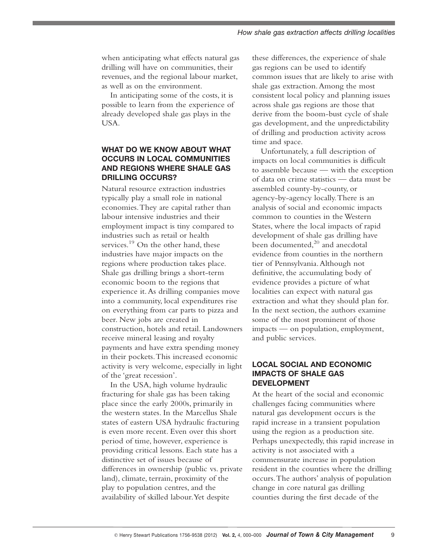when anticipating what effects natural gas drilling will have on communities, their revenues, and the regional labour market, as well as on the environment.

In anticipating some of the costs, it is possible to learn from the experience of already developed shale gas plays in the USA.

# **WHAT DO WE KNOW ABOUT WHAT OCCURS IN LOCAL COMMUNITIES AND REGIONS WHERE SHALE GAS DRILLING OCCURS?**

Natural resource extraction industries typically play a small role in national economies.They are capital rather than labour intensive industries and their employment impact is tiny compared to industries such as retail or health services. <sup>19</sup> On the other hand, these industries have major impacts on the regions where production takes place. Shale gas drilling brings a short-term economic boom to the regions that experience it.As drilling companies move into a community, local expenditures rise on everything from car parts to pizza and beer. New jobs are created in construction, hotels and retail. Landowners receive mineral leasing and royalty payments and have extra spending money in their pockets.This increased economic activity is very welcome, especially in light of the 'great recession'.

In the USA, high volume hydraulic fracturing for shale gas has been taking place since the early 2000s, primarily in the western states. In the Marcellus Shale states of eastern USA hydraulic fracturing is even more recent. Even over this short period of time, however, experience is providing critical lessons. Each state has a distinctive set of issues because of differences in ownership (public vs. private land), climate, terrain, proximity of the play to population centres, and the availability of skilled labour.Yet despite

these differences, the experience of shale gas regions can be used to identify common issues that are likely to arise with shale gas extraction.Among the most consistent local policy and planning issues across shale gas regions are those that derive from the boom-bust cycle of shale gas development, and the unpredictability of drilling and production activity across time and space.

Unfortunately, a full description of impacts on local communities is difficult to assemble because — with the exception of data on crime statistics — data must be assembled county-by-county, or agency-by-agency locally.There is an analysis of social and economic impacts common to counties in the Western States, where the local impacts of rapid development of shale gas drilling have been documented,<sup>20</sup> and anecdotal evidence from counties in the northern tier of Pennsylvania.Although not definitive, the accumulating body of evidence provides a picture of what localities can expect with natural gas extraction and what they should plan for. In the next section, the authors examine some of the most prominent of those impacts — on population, employment, and public services.

### **LOCAL SOCIAL AND ECONOMIC IMPACTS OF SHALE GAS DEVELOPMENT**

At the heart of the social and economic challenges facing communities where natural gas development occurs is the rapid increase in a transient population using the region as a production site. Perhaps unexpectedly, this rapid increase in activity is not associated with a commensurate increase in population resident in the counties where the drilling occurs.The authors' analysis of population change in core natural gas drilling counties during the first decade of the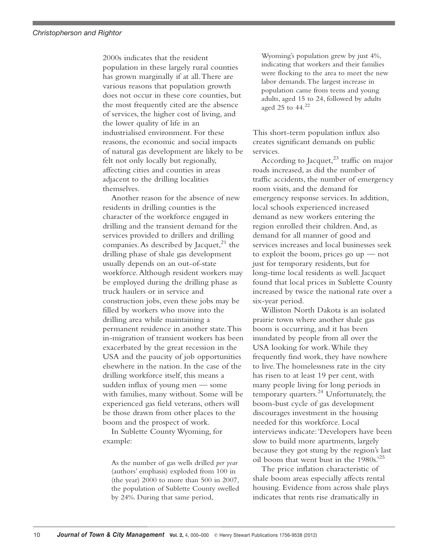2000s indicates that the resident population in these largely rural counties has grown marginally if at all.There are various reasons that population growth does not occur in these core counties, but the most frequently cited are the absence of services, the higher cost of living, and the lower quality of life in an industrialised environment. For these reasons, the economic and social impacts of natural gas development are likely to be felt not only locally but regionally, affecting cities and counties in areas adjacent to the drilling localities themselves.

Another reason for the absence of new residents in drilling counties is the character of the workforce engaged in drilling and the transient demand for the services provided to drillers and drilling companies.As described by Jacquet, <sup>21</sup> the drilling phase of shale gas development usually depends on an out-of-state workforce.Although resident workers may be employed during the drilling phase as truck haulers or in service and construction jobs, even these jobs may be filled by workers who move into the drilling area while maintaining a permanent residence in another state.This in-migration of transient workers has been exacerbated by the great recession in the USA and the paucity of job opportunities elsewhere in the nation. In the case of the drilling workforce itself, this means a sudden influx of young men — some with families, many without. Some will be experienced gas field veterans, others will be those drawn from other places to the boom and the prospect of work.

In Sublette County Wyoming, for example:

As the number of gas wells drilled *per year* (authors' emphasis) exploded from 100 in (the year) 2000 to more than 500 in 2007, the population of Sublette County swelled by 24%. During that same period,

Wyoming's population grew by just 4%, indicating that workers and their families were flocking to the area to meet the new labor demands.The largest increase in population came from teens and young adults, aged 15 to 24, followed by adults aged 25 to 44. 22

This short-term population influx also creates significant demands on public services.

According to Jacquet, <sup>23</sup> traffic on major roads increased, as did the number of traffic accidents, the number of emergency room visits, and the demand for emergency response services. In addition, local schools experienced increased demand as new workers entering the region enrolled their children.And, as demand for all manner of good and services increases and local businesses seek to exploit the boom, prices go up — not just for temporary residents, but for long-time local residents as well. Jacquet found that local prices in Sublette County increased by twice the national rate over a six-year period.

Williston North Dakota is an isolated prairie town where another shale gas boom is occurring, and it has been inundated by people from all over the USA looking for work.While they frequently find work, they have nowhere to live.The homelessness rate in the city has risen to at least 19 per cent, with many people living for long periods in temporary quarters. <sup>24</sup> Unfortunately, the boom-bust cycle of gas development discourages investment in the housing needed for this workforce. Local interviews indicate:'Developers have been slow to build more apartments, largely because they got stung by the region's last oil boom that went bust in the 1980s.' 25

The price inflation characteristic of shale boom areas especially affects rental housing. Evidence from across shale plays indicates that rents rise dramatically in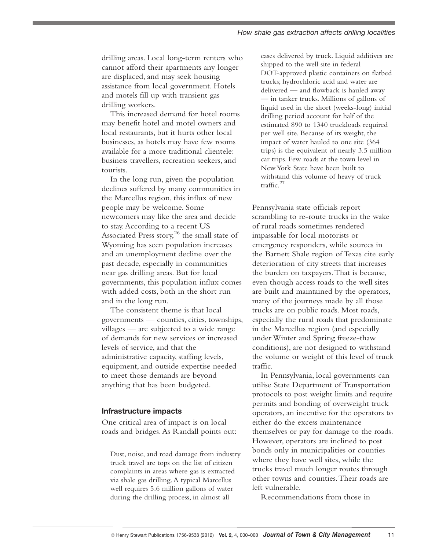drilling areas. Local long-term renters who cannot afford their apartments any longer are displaced, and may seek housing assistance from local government. Hotels and motels fill up with transient gas drilling workers.

This increased demand for hotel rooms may benefit hotel and motel owners and local restaurants, but it hurts other local businesses, as hotels may have few rooms available for a more traditional clientele: business travellers, recreation seekers, and tourists.

In the long run, given the population declines suffered by many communities in the Marcellus region, this influx of new people may be welcome. Some newcomers may like the area and decide to stay.According to a recent US Associated Press story, <sup>26</sup> the small state of Wyoming has seen population increases and an unemployment decline over the past decade, especially in communities near gas drilling areas. But for local governments, this population influx comes with added costs, both in the short run and in the long run.

The consistent theme is that local governments — counties, cities, townships, villages — are subjected to a wide range of demands for new services or increased levels of service, and that the administrative capacity, staffing levels, equipment, and outside expertise needed to meet those demands are beyond anything that has been budgeted.

#### **Infrastructure impacts**

One critical area of impact is on local roads and bridges.As Randall points out:

Dust, noise, and road damage from industry truck travel are tops on the list of citizen complaints in areas where gas is extracted via shale gas drilling.A typical Marcellus well requires 5.6 million gallons of water during the drilling process, in almost all

cases delivered by truck. Liquid additives are shipped to the well site in federal DOT-approved plastic containers on flatbed trucks; hydrochloric acid and water are delivered — and flowback is hauled away — in tanker trucks. Millions of gallons of liquid used in the short (weeks-long) initial drilling period account for half of the estimated 890 to 1340 truckloads required per well site. Because of its weight, the impact of water hauled to one site (364 trips) is the equivalent of nearly 3.5 million car trips. Few roads at the town level in NewYork State have been built to withstand this volume of heavy of truck traffic. 27

Pennsylvania state officials report scrambling to re-route trucks in the wake of rural roads sometimes rendered impassable for local motorists or emergency responders, while sources in the Barnett Shale region of Texas cite early deterioration of city streets that increases the burden on taxpayers.That is because, even though access roads to the well sites are built and maintained by the operators, many of the journeys made by all those trucks are on public roads. Most roads, especially the rural roads that predominate in the Marcellus region (and especially under Winter and Spring freeze-thaw conditions), are not designed to withstand the volume or weight of this level of truck traffic.

In Pennsylvania, local governments can utilise State Department of Transportation protocols to post weight limits and require permits and bonding of overweight truck operators, an incentive for the operators to either do the excess maintenance themselves or pay for damage to the roads. However, operators are inclined to post bonds only in municipalities or counties where they have well sites, while the trucks travel much longer routes through other towns and counties.Their roads are left vulnerable.

Recommendations from those in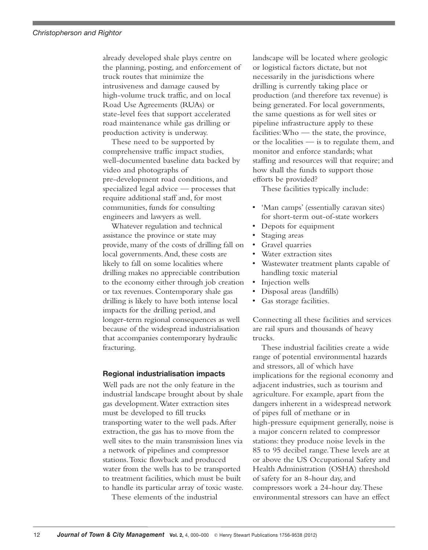already developed shale plays centre on the planning, posting, and enforcement of truck routes that minimize the intrusiveness and damage caused by high-volume truck traffic, and on local Road Use Agreements (RUAs) or state-level fees that support accelerated road maintenance while gas drilling or production activity is underway.

These need to be supported by comprehensive traffic impact studies, well-documented baseline data backed by video and photographs of pre-development road conditions, and specialized legal advice — processes that require additional staff and, for most communities, funds for consulting engineers and lawyers as well.

Whatever regulation and technical assistance the province or state may provide, many of the costs of drilling fall on local governments.And, these costs are likely to fall on some localities where drilling makes no appreciable contribution to the economy either through job creation or tax revenues. Contemporary shale gas drilling is likely to have both intense local impacts for the drilling period,and longer-term regional consequences as well because of the widespread industrialisation that accompanies contemporary hydraulic fracturing.

#### **Regional industrialisation impacts**

Well pads are not the only feature in the industrial landscape brought about by shale gas development.Water extraction sites must be developed to fill trucks transporting water to the well pads.After extraction, the gas has to move from the well sites to the main transmission lines via a network of pipelines and compressor stations.Toxic flowback and produced water from the wells has to be transported to treatment facilities, which must be built to handle its particular array of toxic waste.

These elements of the industrial

landscape will be located where geologic or logistical factors dictate, but not necessarily in the jurisdictions where drilling is currently taking place or production (and therefore tax revenue) is being generated. For local governments, the same questions as for well sites or pipeline infrastructure apply to these facilities:Who — the state, the province, or the localities — is to regulate them, and monitor and enforce standards; what staffing and resources will that require; and how shall the funds to support those efforts be provided?

These facilities typically include:

- 'Man camps' (essentially caravan sites) for short-term out-of-state workers
- Depots for equipment
- Staging areas
- Gravel quarries
- Water extraction sites
- Wastewater treatment plants capable of handling toxic material
- Injection wells
- Disposal areas (landfills)
- Gas storage facilities.

Connecting all these facilities and services are rail spurs and thousands of heavy trucks.

These industrial facilities create a wide range of potential environmental hazards and stressors, all of which have implications for the regional economy and adjacent industries, such as tourism and agriculture. For example, apart from the dangers inherent in a widespread network of pipes full of methane or in high-pressure equipment generally, noise is a major concern related to compressor stations: they produce noise levels in the 85 to 95 decibel range.These levels are at or above the US Occupational Safety and Health Administration (OSHA) threshold of safety for an 8-hour day, and compressors work a 24-hour day.These environmental stressors can have an effect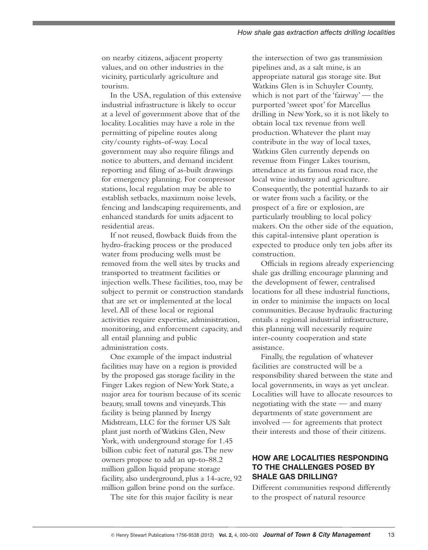on nearby citizens, adjacent property values, and on other industries in the vicinity, particularly agriculture and tourism.

In the USA, regulation of this extensive industrial infrastructure is likely to occur at a level of government above that of the locality. Localities may have a role in the permitting of pipeline routes along city/county rights-of-way. Local government may also require filings and notice to abutters, and demand incident reporting and filing of as-built drawings for emergency planning. For compressor stations, local regulation may be able to establish setbacks, maximum noise levels, fencing and landscaping requirements, and enhanced standards for units adjacent to residential areas.

If not reused, flowback fluids from the hydro-fracking process or the produced water from producing wells must be removed from the well sites by trucks and transported to treatment facilities or injection wells.These facilities, too, may be subject to permit or construction standards that are set or implemented at the local level.All of these local or regional activities require expertise, administration, monitoring, and enforcement capacity, and all entail planning and public administration costs.

One example of the impact industrial facilities may have on a region is provided by the proposed gas storage facility in the Finger Lakes region of New York State, a major area for tourism because of its scenic beauty, small towns and vineyards.This facility is being planned by Inergy Midstream, LLC for the former US Salt plant just north ofWatkins Glen, New York, with underground storage for 1.45 billion cubic feet of natural gas.The new owners propose to add an up-to-88.2 million gallon liquid propane storage facility, also underground, plus a 14-acre, 92 million gallon brine pond on the surface.

The site for this major facility is near

the intersection of two gas transmission pipelines and, as a salt mine, is an appropriate natural gas storage site. But Watkins Glen is in Schuyler County, which is not part of the 'fairway' — the purported 'sweet spot' for Marcellus drilling in NewYork, so it is not likely to obtain local tax revenue from well production.Whatever the plant may contribute in the way of local taxes, Watkins Glen currently depends on revenue from Finger Lakes tourism, attendance at its famous road race, the local wine industry and agriculture. Consequently, the potential hazards to air or water from such a facility, or the prospect of a fire or explosion, are particularly troubling to local policy makers. On the other side of the equation, this capital-intensive plant operation is expected to produce only ten jobs after its construction.

Officials in regions already experiencing shale gas drilling encourage planning and the development of fewer, centralised locations for all these industrial functions, in order to minimise the impacts on local communities. Because hydraulic fracturing entails a regional industrial infrastructure, this planning will necessarily require inter-county cooperation and state assistance.

Finally, the regulation of whatever facilities are constructed will be a responsibility shared between the state and local governments, in ways as yet unclear. Localities will have to allocate resources to negotiating with the state — and many departments of state government are involved — for agreements that protect their interests and those of their citizens.

# **HOW ARE LOCALITIES RESPONDING TO THE CHALLENGES POSED BY SHALE GAS DRILLING?**

Different communities respond differently to the prospect of natural resource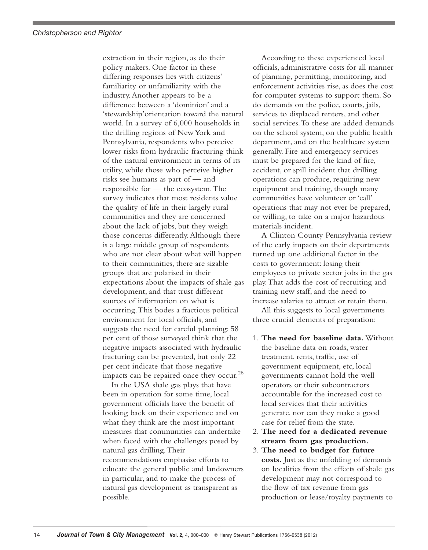extraction in their region, as do their policy makers. One factor in these differing responses lies with citizens' familiarity or unfamiliarity with the industry.Another appears to be a difference between a 'dominion' and a 'stewardship'orientation toward the natural world. In a survey of 6,000 households in the drilling regions of NewYork and Pennsylvania, respondents who perceive lower risks from hydraulic fracturing think of the natural environment in terms of its utility, while those who perceive higher risks see humans as part of — and responsible for — the ecosystem.The survey indicates that most residents value the quality of life in their largely rural communities and they are concerned about the lack of jobs, but they weigh those concerns differently.Although there is a large middle group of respondents who are not clear about what will happen to their communities, there are sizable groups that are polarised in their expectations about the impacts of shale gas development, and that trust different sources of information on what is occurring.This bodes a fractious political environment for local officials, and suggests the need for careful planning: 58 per cent of those surveyed think that the negative impacts associated with hydraulic fracturing can be prevented, but only 22 per cent indicate that those negative impacts can be repaired once they occur.<sup>28</sup>

In the USA shale gas plays that have been in operation for some time, local government officials have the benefit of looking back on their experience and on what they think are the most important measures that communities can undertake when faced with the challenges posed by natural gas drilling.Their recommendations emphasise efforts to educate the general public and landowners in particular, and to make the process of natural gas development as transparent as possible.

According to these experienced local officials, administrative costs for all manner of planning, permitting, monitoring, and enforcement activities rise, as does the cost for computer systems to support them. So do demands on the police, courts, jails, services to displaced renters, and other social services.To these are added demands on the school system, on the public health department, and on the healthcare system generally. Fire and emergency services must be prepared for the kind of fire, accident, or spill incident that drilling operations can produce, requiring new equipment and training, though many communities have volunteer or 'call' operations that may not ever be prepared, or willing, to take on a major hazardous materials incident.

A Clinton County Pennsylvania review of the early impacts on their departments turned up one additional factor in the costs to government: losing their employees to private sector jobs in the gas play.That adds the cost of recruiting and training new staff, and the need to increase salaries to attract or retain them.

All this suggests to local governments three crucial elements of preparation:

- 1. **The need for baseline data.** Without the baseline data on roads, water treatment, rents, traffic, use of government equipment, etc, local governments cannot hold the well operators or their subcontractors accountable for the increased cost to local services that their activities generate, nor can they make a good case for relief from the state.
- 2. **The need for a dedicated revenue stream from gas production.**
- 3. **The need to budget for future costs.** Just as the unfolding of demands on localities from the effects of shale gas development may not correspond to the flow of tax revenue from gas production or lease/royalty payments to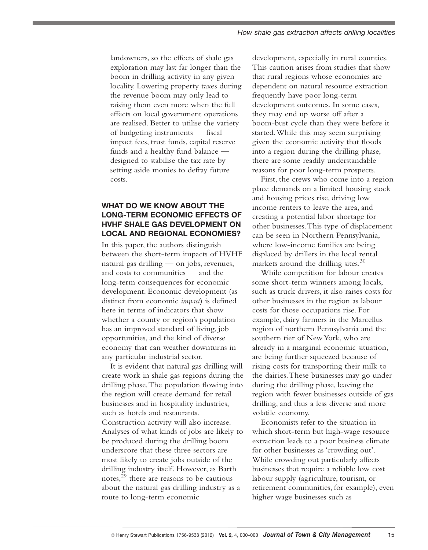landowners, so the effects of shale gas exploration may last far longer than the boom in drilling activity in any given locality. Lowering property taxes during the revenue boom may only lead to raising them even more when the full effects on local government operations are realised. Better to utilise the variety of budgeting instruments — fiscal impact fees, trust funds, capital reserve funds and a healthy fund balance designed to stabilise the tax rate by setting aside monies to defray future costs.

# **WHAT DO WE KNOW ABOUT THE LONG-TERM ECONOMIC EFFECTS OF HVHF SHALE GAS DEVELOPMENT ON LOCAL AND REGIONAL ECONOMIES?**

In this paper, the authors distinguish between the short-term impacts of HVHF natural gas drilling — on jobs, revenues, and costs to communities — and the long-term consequences for economic development. Economic development (as distinct from economic *impact*) is defined here in terms of indicators that show whether a county or region's population has an improved standard of living, job opportunities, and the kind of diverse economy that can weather downturns in any particular industrial sector.

It is evident that natural gas drilling will create work in shale gas regions during the drilling phase.The population flowing into the region will create demand for retail businesses and in hospitality industries, such as hotels and restaurants. Construction activity will also increase. Analyses of what kinds of jobs are likely to be produced during the drilling boom underscore that these three sectors are most likely to create jobs outside of the drilling industry itself. However, as Barth notes, <sup>29</sup> there are reasons to be cautious about the natural gas drilling industry as a route to long-term economic

development, especially in rural counties. This caution arises from studies that show that rural regions whose economies are dependent on natural resource extraction frequently have poor long-term development outcomes. In some cases, they may end up worse off after a boom-bust cycle than they were before it started.While this may seem surprising given the economic activity that floods into a region during the drilling phase, there are some readily understandable reasons for poor long-term prospects.

First, the crews who come into a region place demands on a limited housing stock and housing prices rise, driving low income renters to leave the area, and creating a potential labor shortage for other businesses.This type of displacement can be seen in Northern Pennsylvania, where low-income families are being displaced by drillers in the local rental markets around the drilling sites. 30

While competition for labour creates some short-term winners among locals, such as truck drivers, it also raises costs for other businesses in the region as labour costs for those occupations rise. For example, dairy farmers in the Marcellus region of northern Pennsylvania and the southern tier of NewYork, who are already in a marginal economic situation, are being further squeezed because of rising costs for transporting their milk to the dairies.These businesses may go under during the drilling phase, leaving the region with fewer businesses outside of gas drilling, and thus a less diverse and more volatile economy.

Economists refer to the situation in which short-term but high-wage resource extraction leads to a poor business climate for other businesses as 'crowding out'. While crowding out particularly affects businesses that require a reliable low cost labour supply (agriculture, tourism, or retirement communities, for example), even higher wage businesses such as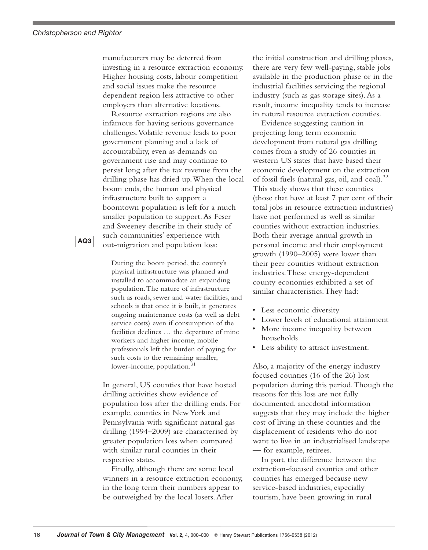manufacturers may be deterred from investing in a resource extraction economy. Higher housing costs, labour competition and social issues make the resource dependent region less attractive to other employers than alternative locations.

Resource extraction regions are also infamous for having serious governance challenges.Volatile revenue leads to poor government planning and a lack of accountability, even as demands on government rise and may continue to persist long after the tax revenue from the drilling phase has dried up.When the local boom ends, the human and physical infrastructure built to support a boomtown population is left for a much smaller population to support.As Feser and Sweeney describe in their study of such communities' experience with out-migration and population loss:

**AQ3**

During the boom period, the county's physical infrastructure was planned and installed to accommodate an expanding population.The nature of infrastructure such as roads, sewer and water facilities, and schools is that once it is built, it generates ongoing maintenance costs (as well as debt service costs) even if consumption of the facilities declines … the departure of mine workers and higher income, mobile professionals left the burden of paying for such costs to the remaining smaller, lower-income, population. 31

In general, US counties that have hosted drilling activities show evidence of population loss after the drilling ends. For example, counties in NewYork and Pennsylvania with significant natural gas drilling (1994–2009) are characterised by greater population loss when compared with similar rural counties in their respective states.

Finally, although there are some local winners in a resource extraction economy, in the long term their numbers appear to be outweighed by the local losers.After

the initial construction and drilling phases, there are very few well-paying, stable jobs available in the production phase or in the industrial facilities servicing the regional industry (such as gas storage sites).As a result, income inequality tends to increase in natural resource extraction counties.

Evidence suggesting caution in projecting long term economic development from natural gas drilling comes from a study of 26 counties in western US states that have based their economic development on the extraction of fossil fuels (natural gas, oil, and coal). 32 This study shows that these counties (those that have at least 7 per cent of their total jobs in resource extraction industries) have not performed as well as similar counties without extraction industries. Both their average annual growth in personal income and their employment growth (1990–2005) were lower than their peer counties without extraction industries.These energy-dependent county economies exhibited a set of similar characteristics.They had:

- Less economic diversity
- Lower levels of educational attainment
- More income inequality between households
	- Less ability to attract investment.

Also, a majority of the energy industry focused counties (16 of the 26) lost population during this period.Though the reasons for this loss are not fully documented, anecdotal information suggests that they may include the higher cost of living in these counties and the displacement of residents who do not want to live in an industrialised landscape — for example, retirees.

In part, the difference between the extraction-focused counties and other counties has emerged because new service-based industries, especially tourism, have been growing in rural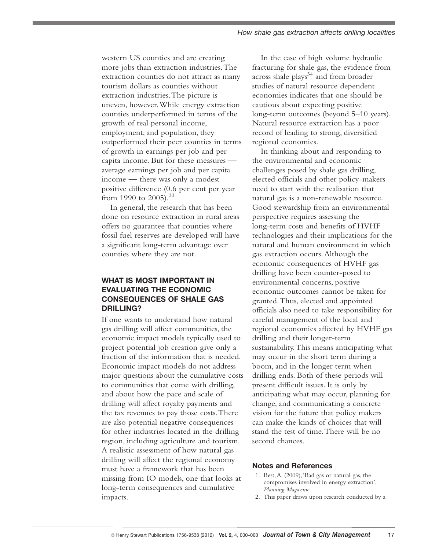western US counties and are creating more jobs than extraction industries.The extraction counties do not attract as many tourism dollars as counties without extraction industries.The picture is uneven, however.While energy extraction counties underperformed in terms of the growth of real personal income, employment, and population, they outperformed their peer counties in terms of growth in earnings per job and per capita income. But for these measures average earnings per job and per capita income — there was only a modest positive difference (0.6 per cent per year from 1990 to 2005).<sup>33</sup>

In general, the research that has been done on resource extraction in rural areas offers no guarantee that counties where fossil fuel reserves are developed will have a significant long-term advantage over counties where they are not.

### **WHAT IS MOST IMPORTANT IN EVALUATING THE ECONOMIC CONSEQUENCES OF SHALE GAS DRILLING?**

If one wants to understand how natural gas drilling will affect communities, the economic impact models typically used to project potential job creation give only a fraction of the information that is needed. Economic impact models do not address major questions about the cumulative costs to communities that come with drilling, and about how the pace and scale of drilling will affect royalty payments and the tax revenues to pay those costs.There are also potential negative consequences for other industries located in the drilling region, including agriculture and tourism. A realistic assessment of how natural gas drilling will affect the regional economy must have a framework that has been missing from IO models, one that looks at long-term consequences and cumulative impacts.

In the case of high volume hydraulic fracturing for shale gas, the evidence from across shale plays<sup>34</sup> and from broader studies of natural resource dependent economies indicates that one should be cautious about expecting positive long-term outcomes (beyond 5–10 years). Natural resource extraction has a poor record of leading to strong, diversified regional economies.

In thinking about and responding to the environmental and economic challenges posed by shale gas drilling, elected officials and other policy-makers need to start with the realisation that natural gas is a non-renewable resource. Good stewardship from an environmental perspective requires assessing the long-term costs and benefits of HVHF technologies and their implications for the natural and human environment in which gas extraction occurs.Although the economic consequences of HVHF gas drilling have been counter-posed to environmental concerns, positive economic outcomes cannot be taken for granted.Thus, elected and appointed officials also need to take responsibility for careful management of the local and regional economies affected by HVHF gas drilling and their longer-term sustainability.This means anticipating what may occur in the short term during a boom, and in the longer term when drilling ends. Both of these periods will present difficult issues. It is only by anticipating what may occur, planning for change, and communicating a concrete vision for the future that policy makers can make the kinds of choices that will stand the test of time.There will be no second chances.

#### **Notes and References**

- 1. Best,A. (2009),'Bad gas or natural gas, the compromises involved in energy extraction', *Planning Magazine*.
- 2. This paper draws upon research conducted by a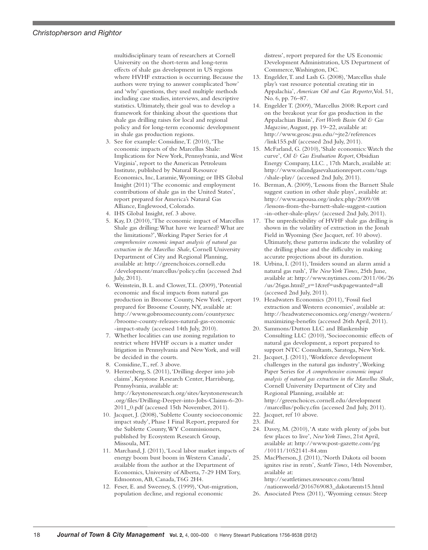#### *Christopherson and Rightor*

multidisciplinary team of researchers at Cornell University on the short-term and long-term effects of shale gas development in US regions where HVHF extraction is occurring. Because the authors were trying to answer complicated 'how' and 'why' questions, they used multiple methods including case studies, interviews, and descriptive statistics. Ultimately, their goal was to develop a framework for thinking about the questions that shale gas drilling raises for local and regional policy and for long-term economic development in shale gas production regions.

- 3. See for example: Considine,T. (2010),'The economic impacts of the Marcellus Shale: Implications for NewYork, Pennsylvania, and West Virginia', report to the American Petroleum Institute, published by Natural Resource Economics, Inc, Laramie,Wyoming; or IHS Global Insight (2011) 'The economic and employment contributions of shale gas in the United States', report prepared for America's Natural Gas Alliance, Englewood, Colorado.
- 4. IHS Global Insight, ref. 3 above.
- 5. Kay, D. (2010),'The economic impact of Marcellus Shale gas drilling:What have we learned? What are the limitations?',Working Paper Series for *A comprehensive economic impact analysis of natural gas extraction in the Marcellus Shale*, Cornell University Department of City and Regional Planning, available at: http://greenchoices.cornell.edu /development/marcellus/policy.cfm (accessed 2nd July, 2011).
- 6. Weinstein, B. L. and Clower,T.L. (2009),'Potential economic and fiscal impacts from natural gas production in Broome County, NewYork', report prepared for Broome County, NY, available at: http://www.gobroomecounty.com/countyexec /broome-county-releases-natural-gas-economic -impact-study (accessed 14th July, 2010).
- 7. Whether localities can use zoning regulation to restrict where HVHF occurs is a matter under litigation in Pennsylvania and NewYork, and will be decided in the courts.
- 8. Considine,T., ref. 3 above.
- 9. Herzenberg, S. (2011),'Drilling deeper into job claims', Keystone Research Center, Harrisburg, Pennsylvania, available at: http://keystoneresearch.org/sites/keystoneresearch .org/files/Drilling-Deeper-into-Jobs-Claims-6-20- 2011\_0.pdf (accessed 15th November, 2011).
- 10. Jacquet, J. (2008),'Sublette County socioeconomic impact study', Phase I Final Report, prepared for the Sublette County,WY Commissioners, published by Ecosystem Research Group, Missoula, MT.
- 11. Marchand, J. (2011),'Local labor market impacts of energy boom bust boom in Western Canada', available from the author at the Department of Economics, University of Alberta, 7-29 HM Tory, Edmonton,AB, Canada,T6G 2H4.
- 12. Feser, E. and Sweeney, S. (1999),'Out-migration, population decline, and regional economic

distress', report prepared for the US Economic Development Administration, US Department of Commerce,Washington, DC.

- 13. Engelder,T. and Lash G. (2008),'Marcellus shale play's vast resource potential creating stir in Appalachia', *American Oil and Gas Reporter*,Vol. 51, No. 6, pp. 76–87.
- 14. Engelder T. (2009),'Marcellus 2008: Report card on the breakout year for gas production in the Appalachian Basin', *FortWorth Basin Oil & Gas Magazine*,August, pp. 19–22, available at: http://www.geosc.psu.edu/~jte2/references /link155.pdf (accessed 2nd July, 2011).
- 15. McFarland, G. (2010),'Shale economics:Watch the curve', *Oil & Gas Evaluation Report*, Obsidian Energy Company, LLC. , 17th March, available at: http://www.oilandgasevaluationreport.com/tags /shale-play/ (accessed 2nd July, 2011).
- 16. Berman,A. (2009),'Lessons from the Barnett Shale suggest caution in other shale plays', available at: http://www.aspousa.org/index.php/2009/08 /lessons-from-the-barnett-shale-suggest-caution -in-other-shale-plays/ (accessed 2nd July, 2011).
- 17. The unpredictability of HVHF shale gas drilling is shown in the volatility of extraction in the Jonah Field in Wyoming (See Jacquet, ref. 10 above). Ultimately, these patterns indicate the volatility of the drilling phase and the difficulty in making accurate projections about its duration.
- 18. Urbina, I. (2011),'Insiders sound an alarm amid a natural gas rush', *The NewYorkTimes*, 25th June, available at: http://www.nytimes.com/2011/06/26 /us/26gas.html?\_r=1&ref=us&pagewanted=all (accessed 2nd July, 2011).
- 19. Headwaters Economics (2011), 'Fossil fuel extraction and Western economies', available at: http://headwaterseconomics.org/energy/western/ maximizing-benefits (accessed 26th April, 2011).
- 20. Sammons/Dutton LLC and Blankenship Consulting LLC (2010),'Socioeconomic effects of natural gas development, a report prepared to support NTC Consultants, Saratoga, NewYork.
- 21. Jacquet, J. (2011),'Workforce development challenges in the natural gas industry',Working Paper Series for *A comprehensive economic impact analysis of natural gas extraction in the Marcellus Shale*, Cornell University Department of City and Regional Planning, available at: http://greenchoices.cornell.edu/development /marcellus/policy.cfm (accessed 2nd July, 2011). 22. Jacquet, ref 10 above.
- 23. *Ibid*.
- 24. Davey, M. (2010),'A state with plenty of jobs but few places to live', *NewYorkTimes*, 21st April, available at: http://www.post-gazette.com/pg /10111/1052141-84.stm
- 25. MacPherson, J. (2011),'North Dakota oil boom ignites rise in rents', *SeattleTimes*, 14th November, available at: http://seattletimes.nwsource.com/html /nationworld/2016769083\_dakotarents15.html
- 26. Associated Press (2011),'Wyoming census: Steep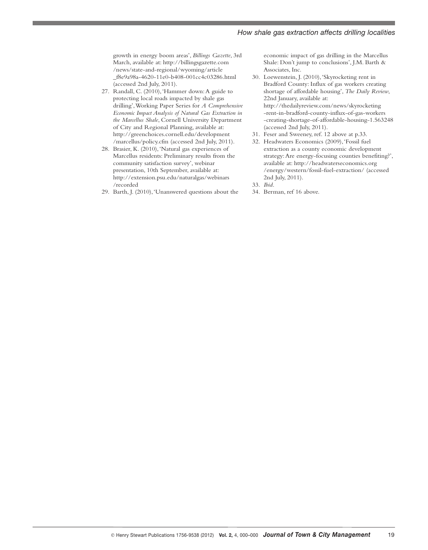growth in energy boom areas', *Billings Gazette*, 3rd March, available at: http://billingsgazette.com /news/state-and-regional/wyoming/article \_f8e9a98a-4620-11e0-b408-001cc4c03286.html (accessed 2nd July, 2011).

- 27. Randall, C. (2010), 'Hammer down: A guide to protecting local roads impacted by shale gas drilling',Working Paper Series for *A Comprehensive Economic Impact Analysis of Natural Gas Extraction in the Marcellus Shale*, Cornell University Department of City and Regional Planning, available at: http://greenchoices.cornell.edu/development /marcellus/policy.cfm (accessed 2nd July, 2011).
- 28. Brasier, K. (2010),'Natural gas experiences of Marcellus residents: Preliminary results from the community satisfaction survey', webinar presentation, 10th September, available at: http://extension.psu.edu/naturalgas/webinars /recorded
- 29. Barth, J. (2010),'Unanswered questions about the

economic impact of gas drilling in the Marcellus Shale: Don't jump to conclusions', J.M. Barth & Associates, Inc.

- 30. Loewenstein, J. (2010),'Skyrocketing rent in Bradford County: Influx of gas workers creating shortage of affordable housing', *The Daily Review*, 22nd January, available at: http://thedailyreview.com/news/skyrocketing -rent-in-bradford-county-influx-of-gas-workers -creating-shortage-of-affordable-housing-1.563248 (accessed 2nd July, 2011).
- 31. Feser and Sweeney, ref. 12 above at p.33.
- 32. Headwaters Economics (2009),'Fossil fuel extraction as a county economic development strategy:Are energy-focusing counties benefiting?', available at: http://headwaterseconomics.org /energy/western/fossil-fuel-extraction/ (accessed 2nd July, 2011).
- 33. *Ibid*.
- 34. Berman, ref 16 above.